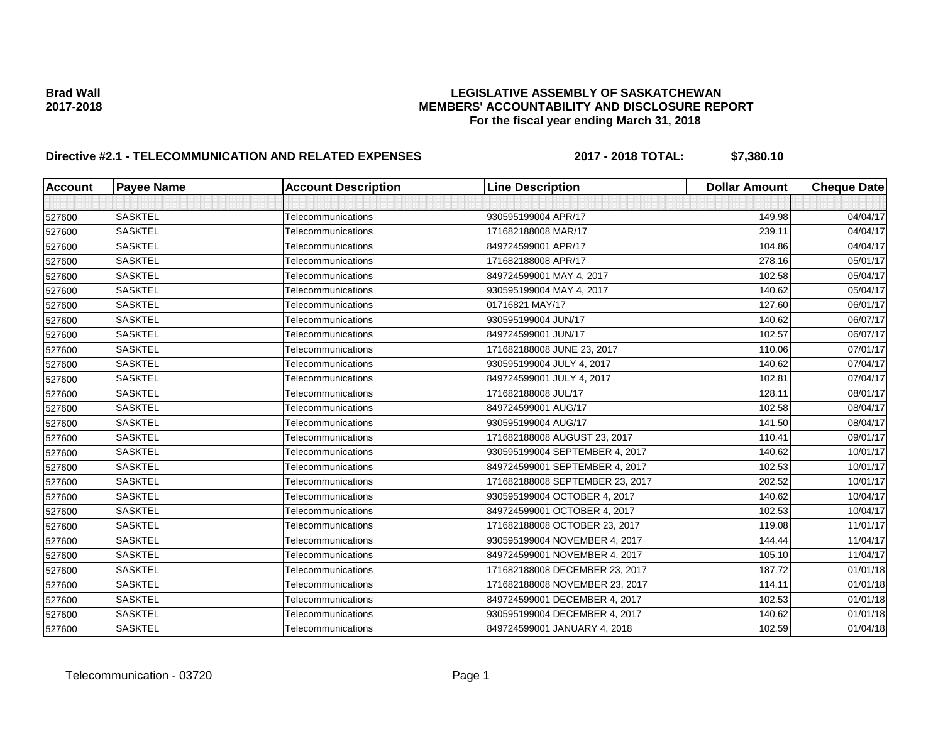### **Brad Wall LEGISLATIVE ASSEMBLY OF SASKATCHEWAN 2017-2018 MEMBERS' ACCOUNTABILITY AND DISCLOSURE REPORT For the fiscal year ending March 31, 2018**

# **Directive #2.1 - TELECOMMUNICATION AND RELATED EXPENSES 2017 - 2018 TOTAL: \$7,380.10**

| <b>Account</b> | <b>Payee Name</b> | <b>Account Description</b> | <b>Line Description</b>         | <b>Dollar Amount</b> | <b>Cheque Date</b> |
|----------------|-------------------|----------------------------|---------------------------------|----------------------|--------------------|
|                |                   |                            |                                 |                      |                    |
| 527600         | <b>SASKTEL</b>    | <b>Telecommunications</b>  | 930595199004 APR/17             | 149.98               | 04/04/17           |
| 527600         | <b>SASKTEL</b>    | Telecommunications         | 171682188008 MAR/17             | 239.11               | 04/04/17           |
| 527600         | <b>SASKTEL</b>    | Telecommunications         | 849724599001 APR/17             | 104.86               | 04/04/17           |
| 527600         | <b>SASKTEL</b>    | Telecommunications         | 171682188008 APR/17             | 278.16               | 05/01/17           |
| 527600         | <b>SASKTEL</b>    | Telecommunications         | 849724599001 MAY 4, 2017        | 102.58               | 05/04/17           |
| 527600         | <b>SASKTEL</b>    | Telecommunications         | 930595199004 MAY 4, 2017        | 140.62               | 05/04/17           |
| 527600         | <b>SASKTEL</b>    | Telecommunications         | 01716821 MAY/17                 | 127.60               | 06/01/17           |
| 527600         | <b>SASKTEL</b>    | Telecommunications         | 930595199004 JUN/17             | 140.62               | 06/07/17           |
| 527600         | <b>SASKTEL</b>    | Telecommunications         | 849724599001 JUN/17             | 102.57               | 06/07/17           |
| 527600         | <b>SASKTEL</b>    | Telecommunications         | 171682188008 JUNE 23, 2017      | 110.06               | 07/01/17           |
| 527600         | <b>SASKTEL</b>    | Telecommunications         | 930595199004 JULY 4, 2017       | 140.62               | 07/04/17           |
| 527600         | <b>SASKTEL</b>    | Telecommunications         | 849724599001 JULY 4, 2017       | 102.81               | 07/04/17           |
| 527600         | <b>SASKTEL</b>    | <b>Telecommunications</b>  | 171682188008 JUL/17             | 128.11               | 08/01/17           |
| 527600         | <b>SASKTEL</b>    | <b>Telecommunications</b>  | 849724599001 AUG/17             | 102.58               | 08/04/17           |
| 527600         | <b>SASKTEL</b>    | Telecommunications         | 930595199004 AUG/17             | 141.50               | 08/04/17           |
| 527600         | <b>SASKTEL</b>    | Telecommunications         | 171682188008 AUGUST 23, 2017    | 110.41               | 09/01/17           |
| 527600         | <b>SASKTEL</b>    | Telecommunications         | 930595199004 SEPTEMBER 4, 2017  | 140.62               | 10/01/17           |
| 527600         | <b>SASKTEL</b>    | Telecommunications         | 849724599001 SEPTEMBER 4, 2017  | 102.53               | 10/01/17           |
| 527600         | <b>SASKTEL</b>    | Telecommunications         | 171682188008 SEPTEMBER 23, 2017 | 202.52               | 10/01/17           |
| 527600         | <b>SASKTEL</b>    | Telecommunications         | 930595199004 OCTOBER 4, 2017    | 140.62               | 10/04/17           |
| 527600         | <b>SASKTEL</b>    | Telecommunications         | 849724599001 OCTOBER 4, 2017    | 102.53               | 10/04/17           |
| 527600         | <b>SASKTEL</b>    | Telecommunications         | 171682188008 OCTOBER 23, 2017   | 119.08               | 11/01/17           |
| 527600         | <b>SASKTEL</b>    | <b>Telecommunications</b>  | 930595199004 NOVEMBER 4, 2017   | 144.44               | 11/04/17           |
| 527600         | <b>SASKTEL</b>    | <b>Telecommunications</b>  | 849724599001 NOVEMBER 4, 2017   | 105.10               | 11/04/17           |
| 527600         | <b>SASKTEL</b>    | Telecommunications         | 171682188008 DECEMBER 23, 2017  | 187.72               | 01/01/18           |
| 527600         | <b>SASKTEL</b>    | Telecommunications         | 171682188008 NOVEMBER 23, 2017  | 114.11               | 01/01/18           |
| 527600         | <b>SASKTEL</b>    | Telecommunications         | 849724599001 DECEMBER 4, 2017   | 102.53               | 01/01/18           |
| 527600         | <b>SASKTEL</b>    | Telecommunications         | 930595199004 DECEMBER 4, 2017   | 140.62               | 01/01/18           |
| 527600         | <b>SASKTEL</b>    | Telecommunications         | 849724599001 JANUARY 4, 2018    | 102.59               | 01/04/18           |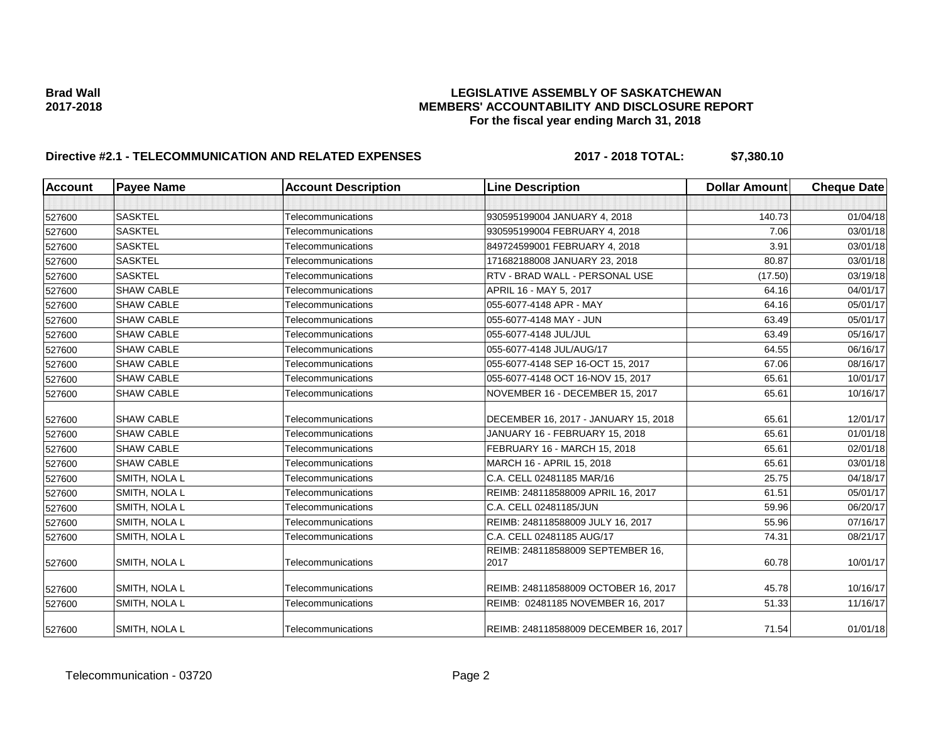### **Brad Wall LEGISLATIVE ASSEMBLY OF SASKATCHEWAN 2017-2018 MEMBERS' ACCOUNTABILITY AND DISCLOSURE REPORT For the fiscal year ending March 31, 2018**

# **Directive #2.1 - TELECOMMUNICATION AND RELATED EXPENSES 2017 - 2018 TOTAL: \$7,380.10**

| <b>Account</b> | <b>Payee Name</b> | <b>Account Description</b> | <b>Line Description</b>                   | <b>Dollar Amount</b> | <b>Cheque Date</b> |
|----------------|-------------------|----------------------------|-------------------------------------------|----------------------|--------------------|
|                |                   |                            |                                           |                      |                    |
| 527600         | <b>SASKTEL</b>    | Telecommunications         | 930595199004 JANUARY 4, 2018              | 140.73               | 01/04/18           |
| 527600         | <b>SASKTEL</b>    | Telecommunications         | 930595199004 FEBRUARY 4, 2018             | 7.06                 | 03/01/18           |
| 527600         | <b>SASKTEL</b>    | Telecommunications         | 849724599001 FEBRUARY 4, 2018             | 3.91                 | 03/01/18           |
| 527600         | <b>SASKTEL</b>    | Telecommunications         | 171682188008 JANUARY 23, 2018             | 80.87                | 03/01/18           |
| 527600         | <b>SASKTEL</b>    | Telecommunications         | RTV - BRAD WALL - PERSONAL USE            | (17.50)              | 03/19/18           |
| 527600         | <b>SHAW CABLE</b> | Telecommunications         | APRIL 16 - MAY 5, 2017                    | 64.16                | 04/01/17           |
| 527600         | <b>SHAW CABLE</b> | Telecommunications         | 055-6077-4148 APR - MAY                   | 64.16                | 05/01/17           |
| 527600         | <b>SHAW CABLE</b> | Telecommunications         | 055-6077-4148 MAY - JUN                   | 63.49                | 05/01/17           |
| 527600         | <b>SHAW CABLE</b> | <b>Telecommunications</b>  | 055-6077-4148 JUL/JUL                     | 63.49                | 05/16/17           |
| 527600         | <b>SHAW CABLE</b> | Telecommunications         | 055-6077-4148 JUL/AUG/17                  | 64.55                | 06/16/17           |
| 527600         | <b>SHAW CABLE</b> | Telecommunications         | 055-6077-4148 SEP 16-OCT 15, 2017         | 67.06                | 08/16/17           |
| 527600         | <b>SHAW CABLE</b> | Telecommunications         | 055-6077-4148 OCT 16-NOV 15, 2017         | 65.61                | 10/01/17           |
| 527600         | <b>SHAW CABLE</b> | Telecommunications         | NOVEMBER 16 - DECEMBER 15, 2017           | 65.61                | 10/16/17           |
| 527600         | <b>SHAW CABLE</b> | Telecommunications         | DECEMBER 16, 2017 - JANUARY 15, 2018      | 65.61                | 12/01/17           |
| 527600         | <b>SHAW CABLE</b> | Telecommunications         | JANUARY 16 - FEBRUARY 15, 2018            | 65.61                | 01/01/18           |
| 527600         | <b>SHAW CABLE</b> | Telecommunications         | FEBRUARY 16 - MARCH 15, 2018              | 65.61                | 02/01/18           |
| 527600         | <b>SHAW CABLE</b> | Telecommunications         | MARCH 16 - APRIL 15, 2018                 | 65.61                | 03/01/18           |
| 527600         | SMITH, NOLA L     | Telecommunications         | C.A. CELL 02481185 MAR/16                 | 25.75                | 04/18/17           |
| 527600         | SMITH, NOLA L     | Telecommunications         | REIMB: 248118588009 APRIL 16, 2017        | 61.51                | 05/01/17           |
| 527600         | SMITH, NOLA L     | Telecommunications         | C.A. CELL 02481185/JUN                    | 59.96                | 06/20/17           |
| 527600         | SMITH, NOLA L     | Telecommunications         | REIMB: 248118588009 JULY 16, 2017         | 55.96                | 07/16/17           |
| 527600         | SMITH, NOLA L     | Telecommunications         | C.A. CELL 02481185 AUG/17                 | 74.31                | 08/21/17           |
| 527600         | SMITH, NOLA L     | Telecommunications         | REIMB: 248118588009 SEPTEMBER 16,<br>2017 | 60.78                | 10/01/17           |
| 527600         | SMITH, NOLA L     | Telecommunications         | REIMB: 248118588009 OCTOBER 16, 2017      | 45.78                | 10/16/17           |
| 527600         | SMITH, NOLA L     | Telecommunications         | REIMB: 02481185 NOVEMBER 16, 2017         | 51.33                | 11/16/17           |
| 527600         | SMITH, NOLA L     | Telecommunications         | REIMB: 248118588009 DECEMBER 16, 2017     | 71.54                | 01/01/18           |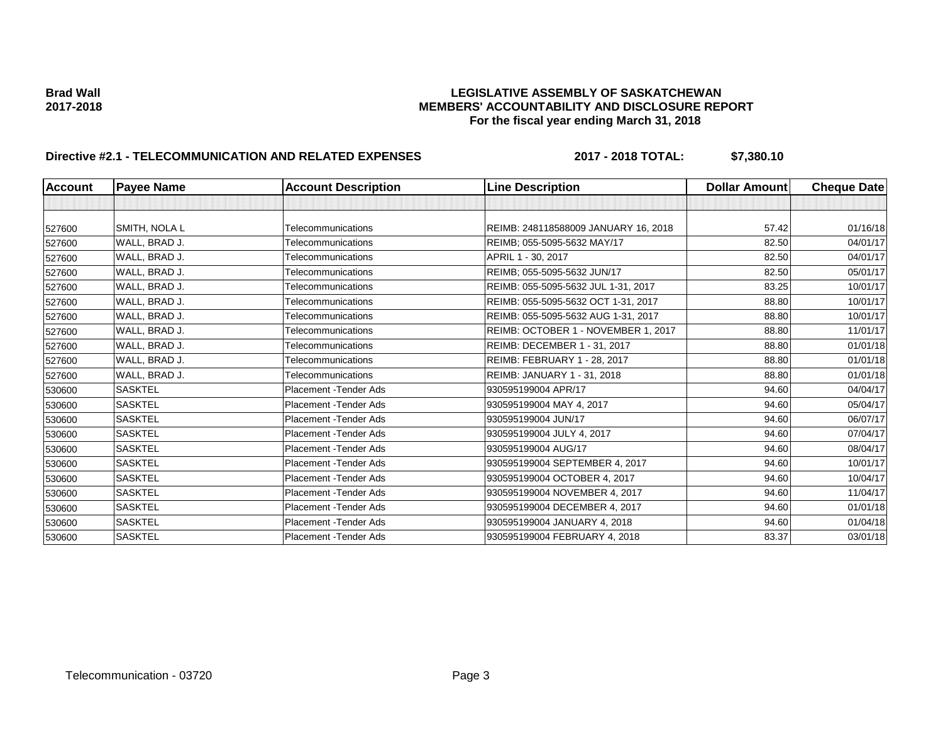### **Brad Wall LEGISLATIVE ASSEMBLY OF SASKATCHEWAN 2017-2018 MEMBERS' ACCOUNTABILITY AND DISCLOSURE REPORT For the fiscal year ending March 31, 2018**

# **Directive #2.1 - TELECOMMUNICATION AND RELATED EXPENSES 2017 - 2018 TOTAL: \$7,380.10**

| <b>Account</b> | <b>Payee Name</b> | <b>Account Description</b> | <b>Line Description</b>              | Dollar Amount | <b>Cheque Date</b> |
|----------------|-------------------|----------------------------|--------------------------------------|---------------|--------------------|
|                |                   |                            |                                      |               |                    |
| 527600         | SMITH, NOLA L     | Telecommunications         | REIMB: 248118588009 JANUARY 16, 2018 | 57.42         | 01/16/18           |
| 527600         | WALL, BRAD J.     | Telecommunications         | REIMB; 055-5095-5632 MAY/17          | 82.50         | 04/01/17           |
| 527600         | WALL, BRAD J.     | <b>Telecommunications</b>  | APRIL 1 - 30, 2017                   | 82.50         | 04/01/17           |
| 527600         | WALL, BRAD J.     | Telecommunications         | REIMB; 055-5095-5632 JUN/17          | 82.50         | 05/01/17           |
| 527600         | WALL, BRAD J.     | Telecommunications         | REIMB: 055-5095-5632 JUL 1-31, 2017  | 83.25         | 10/01/17           |
| 527600         | WALL, BRAD J.     | Telecommunications         | REIMB: 055-5095-5632 OCT 1-31, 2017  | 88.80         | 10/01/17           |
| 527600         | WALL, BRAD J.     | Telecommunications         | REIMB: 055-5095-5632 AUG 1-31, 2017  | 88.80         | 10/01/17           |
| 527600         | WALL, BRAD J.     | Telecommunications         | REIMB: OCTOBER 1 - NOVEMBER 1, 2017  | 88.80         | 11/01/17           |
| 527600         | WALL, BRAD J.     | Telecommunications         | REIMB: DECEMBER 1 - 31, 2017         | 88.80         | 01/01/18           |
| 527600         | WALL, BRAD J.     | Telecommunications         | REIMB: FEBRUARY 1 - 28, 2017         | 88.80         | 01/01/18           |
| 527600         | WALL, BRAD J.     | Telecommunications         | REIMB: JANUARY 1 - 31, 2018          | 88.80         | 01/01/18           |
| 530600         | <b>SASKTEL</b>    | Placement - Tender Ads     | 930595199004 APR/17                  | 94.60         | 04/04/17           |
| 530600         | <b>SASKTEL</b>    | Placement - Tender Ads     | 930595199004 MAY 4, 2017             | 94.60         | 05/04/17           |
| 530600         | <b>SASKTEL</b>    | Placement - Tender Ads     | 930595199004 JUN/17                  | 94.60         | 06/07/17           |
| 530600         | <b>SASKTEL</b>    | Placement - Tender Ads     | 930595199004 JULY 4, 2017            | 94.60         | 07/04/17           |
| 530600         | <b>SASKTEL</b>    | Placement - Tender Ads     | 930595199004 AUG/17                  | 94.60         | 08/04/17           |
| 530600         | <b>SASKTEL</b>    | Placement - Tender Ads     | 930595199004 SEPTEMBER 4, 2017       | 94.60         | 10/01/17           |
| 530600         | <b>SASKTEL</b>    | Placement - Tender Ads     | 930595199004 OCTOBER 4, 2017         | 94.60         | 10/04/17           |
| 530600         | <b>SASKTEL</b>    | Placement - Tender Ads     | 930595199004 NOVEMBER 4, 2017        | 94.60         | 11/04/17           |
| 530600         | <b>SASKTEL</b>    | Placement - Tender Ads     | 930595199004 DECEMBER 4, 2017        | 94.60         | 01/01/18           |
| 530600         | <b>SASKTEL</b>    | Placement - Tender Ads     | 930595199004 JANUARY 4, 2018         | 94.60         | 01/04/18           |
| 530600         | <b>SASKTEL</b>    | Placement - Tender Ads     | 930595199004 FEBRUARY 4, 2018        | 83.37         | 03/01/18           |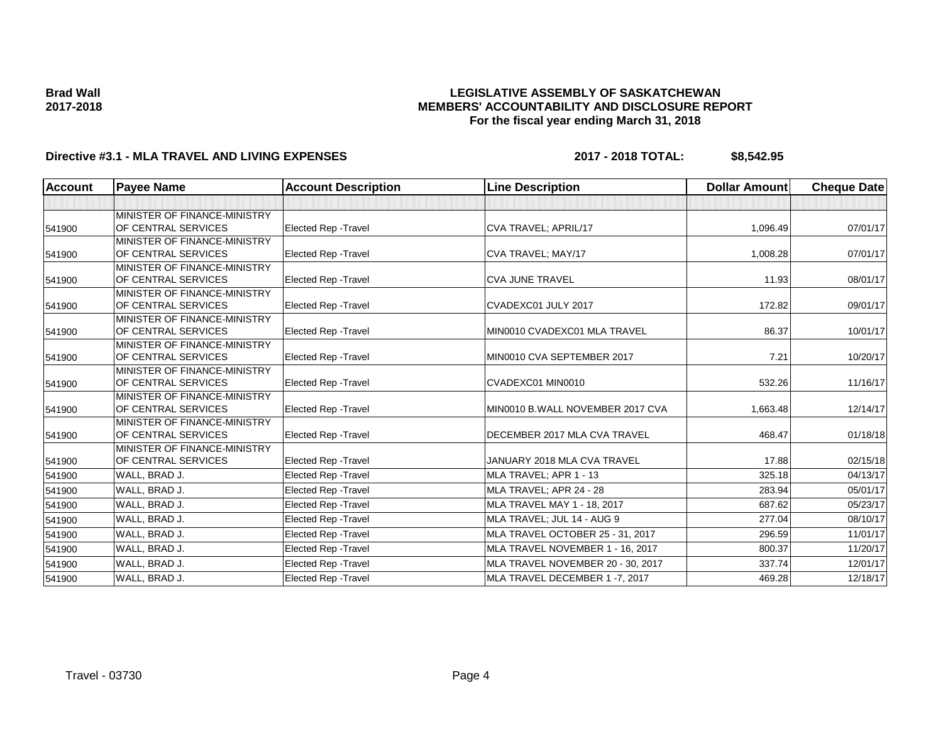### **LEGISLATIVE ASSEMBLY OF SASKATCHEWAN MEMBERS' ACCOUNTABILITY AND DISCLOSURE REPORT For the fiscal year ending March 31, 2018**

## **Directive #3.1 - MLA TRAVEL AND LIVING EXPENSES 2017 - 2018 TOTAL: \$8,542.95**

| <b>Account</b> | <b>Payee Name</b>            | <b>Account Description</b>  | <b>Line Description</b>           | <b>Dollar Amount</b> | <b>Cheque Date</b> |
|----------------|------------------------------|-----------------------------|-----------------------------------|----------------------|--------------------|
|                |                              |                             |                                   |                      |                    |
|                | MINISTER OF FINANCE-MINISTRY |                             |                                   |                      |                    |
| 541900         | OF CENTRAL SERVICES          | Elected Rep - Travel        | CVA TRAVEL; APRIL/17              | 1,096.49             | 07/01/17           |
|                | MINISTER OF FINANCE-MINISTRY |                             |                                   |                      |                    |
| 541900         | OF CENTRAL SERVICES          | <b>Elected Rep - Travel</b> | CVA TRAVEL; MAY/17                | 1,008.28             | 07/01/17           |
|                | MINISTER OF FINANCE-MINISTRY |                             |                                   |                      |                    |
| 541900         | OF CENTRAL SERVICES          | Elected Rep - Travel        | <b>CVA JUNE TRAVEL</b>            | 11.93                | 08/01/17           |
|                | MINISTER OF FINANCE-MINISTRY |                             |                                   |                      |                    |
| 541900         | OF CENTRAL SERVICES          | <b>Elected Rep - Travel</b> | CVADEXC01 JULY 2017               | 172.82               | 09/01/17           |
|                | MINISTER OF FINANCE-MINISTRY |                             |                                   |                      |                    |
| 541900         | OF CENTRAL SERVICES          | <b>Elected Rep - Travel</b> | MIN0010 CVADEXC01 MLA TRAVEL      | 86.37                | 10/01/17           |
|                | MINISTER OF FINANCE-MINISTRY |                             |                                   |                      |                    |
| 541900         | OF CENTRAL SERVICES          | Elected Rep - Travel        | MIN0010 CVA SEPTEMBER 2017        | 7.21                 | 10/20/17           |
|                | MINISTER OF FINANCE-MINISTRY |                             |                                   |                      |                    |
| 541900         | OF CENTRAL SERVICES          | <b>Elected Rep - Travel</b> | CVADEXC01 MIN0010                 | 532.26               | 11/16/17           |
|                | MINISTER OF FINANCE-MINISTRY |                             |                                   |                      |                    |
| 541900         | OF CENTRAL SERVICES          | Elected Rep - Travel        | MIN0010 B.WALL NOVEMBER 2017 CVA  | 1,663.48             | 12/14/17           |
|                | MINISTER OF FINANCE-MINISTRY |                             |                                   |                      |                    |
| 541900         | OF CENTRAL SERVICES          | Elected Rep - Travel        | DECEMBER 2017 MLA CVA TRAVEL      | 468.47               | 01/18/18           |
|                | MINISTER OF FINANCE-MINISTRY |                             |                                   |                      |                    |
| 541900         | OF CENTRAL SERVICES          | Elected Rep - Travel        | JANUARY 2018 MLA CVA TRAVEL       | 17.88                | 02/15/18           |
| 541900         | WALL, BRAD J.                | Elected Rep - Travel        | MLA TRAVEL; APR 1 - 13            | 325.18               | 04/13/17           |
| 541900         | WALL, BRAD J.                | Elected Rep - Travel        | MLA TRAVEL; APR 24 - 28           | 283.94               | 05/01/17           |
| 541900         | WALL, BRAD J.                | Elected Rep - Travel        | MLA TRAVEL MAY 1 - 18, 2017       | 687.62               | 05/23/17           |
| 541900         | WALL, BRAD J.                | Elected Rep - Travel        | MLA TRAVEL; JUL 14 - AUG 9        | 277.04               | 08/10/17           |
| 541900         | WALL, BRAD J.                | <b>Elected Rep - Travel</b> | MLA TRAVEL OCTOBER 25 - 31, 2017  | 296.59               | 11/01/17           |
| 541900         | WALL, BRAD J.                | Elected Rep - Travel        | MLA TRAVEL NOVEMBER 1 - 16, 2017  | 800.37               | 11/20/17           |
| 541900         | WALL, BRAD J.                | Elected Rep - Travel        | MLA TRAVEL NOVEMBER 20 - 30, 2017 | 337.74               | 12/01/17           |
| 541900         | WALL, BRAD J.                | <b>Elected Rep - Travel</b> | MLA TRAVEL DECEMBER 1-7, 2017     | 469.28               | 12/18/17           |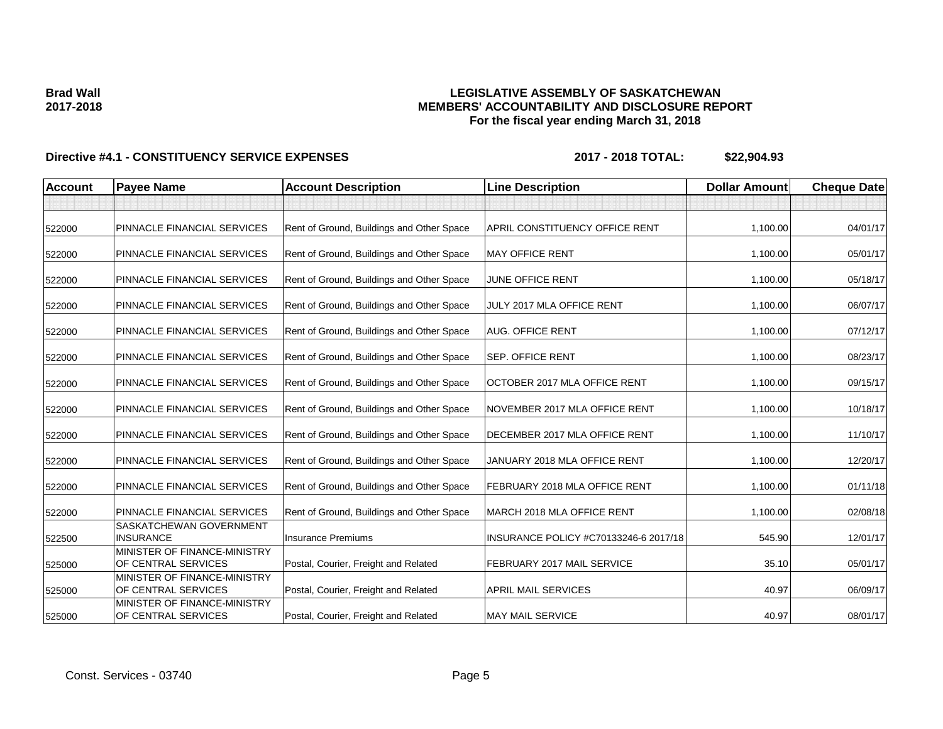## **LEGISLATIVE ASSEMBLY OF SASKATCHEWAN MEMBERS' ACCOUNTABILITY AND DISCLOSURE REPORT For the fiscal year ending March 31, 2018**

| <b>Account</b> | <b>Payee Name</b>                                   | <b>Account Description</b>                | <b>Line Description</b>               | <b>Dollar Amount</b> | <b>Cheque Date</b> |
|----------------|-----------------------------------------------------|-------------------------------------------|---------------------------------------|----------------------|--------------------|
|                |                                                     |                                           |                                       |                      |                    |
| 522000         | PINNACLE FINANCIAL SERVICES                         | Rent of Ground, Buildings and Other Space | <b>APRIL CONSTITUENCY OFFICE RENT</b> | 1,100.00             | 04/01/17           |
| 522000         | PINNACLE FINANCIAL SERVICES                         | Rent of Ground, Buildings and Other Space | <b>MAY OFFICE RENT</b>                | 1,100.00             | 05/01/17           |
| 522000         | <b>PINNACLE FINANCIAL SERVICES</b>                  | Rent of Ground, Buildings and Other Space | JUNE OFFICE RENT                      | 1,100.00             | 05/18/17           |
| 522000         | PINNACLE FINANCIAL SERVICES                         | Rent of Ground, Buildings and Other Space | JULY 2017 MLA OFFICE RENT             | 1,100.00             | 06/07/17           |
| 522000         | PINNACLE FINANCIAL SERVICES                         | Rent of Ground, Buildings and Other Space | <b>AUG. OFFICE RENT</b>               | 1,100.00             | 07/12/17           |
| 522000         | PINNACLE FINANCIAL SERVICES                         | Rent of Ground, Buildings and Other Space | <b>SEP. OFFICE RENT</b>               | 1,100.00             | 08/23/17           |
| 522000         | PINNACLE FINANCIAL SERVICES                         | Rent of Ground, Buildings and Other Space | OCTOBER 2017 MLA OFFICE RENT          | 1,100.00             | 09/15/17           |
| 522000         | PINNACLE FINANCIAL SERVICES                         | Rent of Ground, Buildings and Other Space | NOVEMBER 2017 MLA OFFICE RENT         | 1,100.00             | 10/18/17           |
| 522000         | PINNACLE FINANCIAL SERVICES                         | Rent of Ground, Buildings and Other Space | DECEMBER 2017 MLA OFFICE RENT         | 1,100.00             | 11/10/17           |
| 522000         | PINNACLE FINANCIAL SERVICES                         | Rent of Ground, Buildings and Other Space | JANUARY 2018 MLA OFFICE RENT          | 1,100.00             | 12/20/17           |
| 522000         | PINNACLE FINANCIAL SERVICES                         | Rent of Ground, Buildings and Other Space | <b>FEBRUARY 2018 MLA OFFICE RENT</b>  | 1,100.00             | 01/11/18           |
| 522000         | PINNACLE FINANCIAL SERVICES                         | Rent of Ground, Buildings and Other Space | MARCH 2018 MLA OFFICE RENT            | 1,100.00             | 02/08/18           |
| 522500         | SASKATCHEWAN GOVERNMENT<br><b>INSURANCE</b>         | <b>Insurance Premiums</b>                 | INSURANCE POLICY #C70133246-6 2017/18 | 545.90               | 12/01/17           |
| 525000         | MINISTER OF FINANCE-MINISTRY<br>OF CENTRAL SERVICES | Postal, Courier, Freight and Related      | <b>FEBRUARY 2017 MAIL SERVICE</b>     | 35.10                | 05/01/17           |
| 525000         | MINISTER OF FINANCE-MINISTRY<br>OF CENTRAL SERVICES | Postal, Courier, Freight and Related      | <b>APRIL MAIL SERVICES</b>            | 40.97                | 06/09/17           |
| 525000         | MINISTER OF FINANCE-MINISTRY<br>OF CENTRAL SERVICES | Postal, Courier, Freight and Related      | <b>MAY MAIL SERVICE</b>               | 40.97                | 08/01/17           |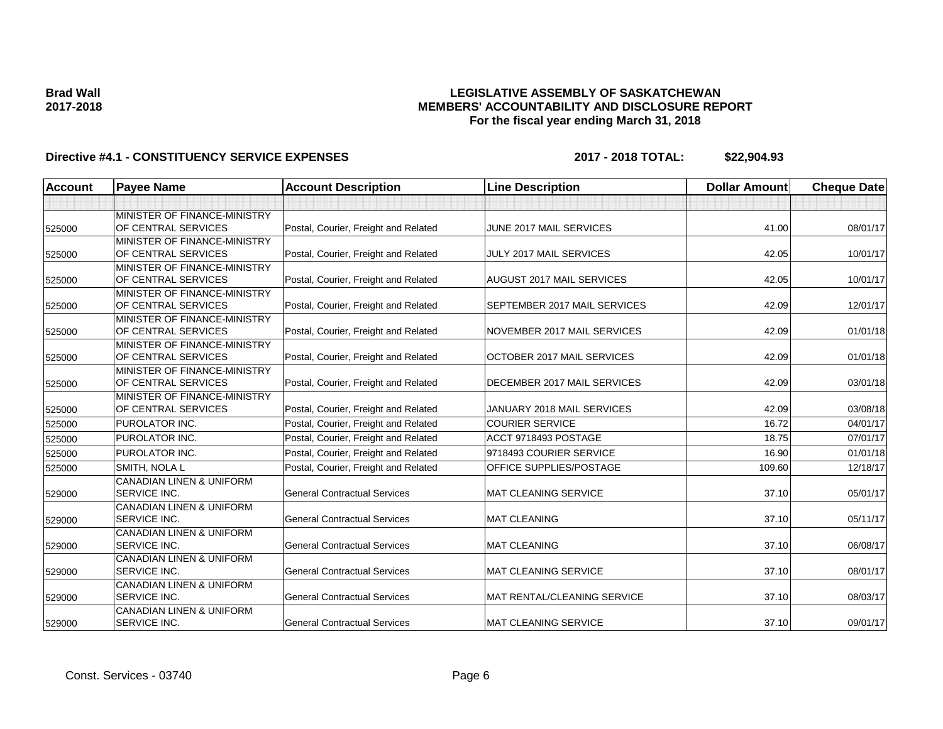## **LEGISLATIVE ASSEMBLY OF SASKATCHEWAN MEMBERS' ACCOUNTABILITY AND DISCLOSURE REPORT For the fiscal year ending March 31, 2018**

| <b>Account</b> | <b>Payee Name</b>                                          | <b>Account Description</b>           | <b>Line Description</b>      | <b>Dollar Amount</b> | <b>Cheque Date</b> |
|----------------|------------------------------------------------------------|--------------------------------------|------------------------------|----------------------|--------------------|
|                |                                                            |                                      |                              |                      |                    |
| 525000         | MINISTER OF FINANCE-MINISTRY<br>OF CENTRAL SERVICES        | Postal, Courier, Freight and Related | JUNE 2017 MAIL SERVICES      | 41.00                | 08/01/17           |
| 525000         | MINISTER OF FINANCE-MINISTRY<br>OF CENTRAL SERVICES        | Postal, Courier, Freight and Related | JULY 2017 MAIL SERVICES      | 42.05                | 10/01/17           |
| 525000         | MINISTER OF FINANCE-MINISTRY<br>OF CENTRAL SERVICES        | Postal, Courier, Freight and Related | AUGUST 2017 MAIL SERVICES    | 42.05                | 10/01/17           |
| 525000         | MINISTER OF FINANCE-MINISTRY<br>OF CENTRAL SERVICES        | Postal, Courier, Freight and Related | SEPTEMBER 2017 MAIL SERVICES | 42.09                | 12/01/17           |
| 525000         | MINISTER OF FINANCE-MINISTRY<br>OF CENTRAL SERVICES        | Postal, Courier, Freight and Related | NOVEMBER 2017 MAIL SERVICES  | 42.09                | 01/01/18           |
| 525000         | MINISTER OF FINANCE-MINISTRY<br>OF CENTRAL SERVICES        | Postal, Courier, Freight and Related | OCTOBER 2017 MAIL SERVICES   | 42.09                | 01/01/18           |
| 525000         | MINISTER OF FINANCE-MINISTRY<br>OF CENTRAL SERVICES        | Postal, Courier, Freight and Related | DECEMBER 2017 MAIL SERVICES  | 42.09                | 03/01/18           |
| 525000         | MINISTER OF FINANCE-MINISTRY<br>OF CENTRAL SERVICES        | Postal, Courier, Freight and Related | JANUARY 2018 MAIL SERVICES   | 42.09                | 03/08/18           |
| 525000         | PUROLATOR INC.                                             | Postal, Courier, Freight and Related | <b>COURIER SERVICE</b>       | 16.72                | 04/01/17           |
| 525000         | PUROLATOR INC.                                             | Postal, Courier, Freight and Related | ACCT 9718493 POSTAGE         | 18.75                | 07/01/17           |
| 525000         | <b>PUROLATOR INC.</b>                                      | Postal, Courier, Freight and Related | 9718493 COURIER SERVICE      | 16.90                | 01/01/18           |
| 525000         | SMITH, NOLA L                                              | Postal, Courier, Freight and Related | OFFICE SUPPLIES/POSTAGE      | 109.60               | 12/18/17           |
| 529000         | <b>CANADIAN LINEN &amp; UNIFORM</b><br>SERVICE INC.        | <b>General Contractual Services</b>  | <b>MAT CLEANING SERVICE</b>  | 37.10                | 05/01/17           |
| 529000         | <b>CANADIAN LINEN &amp; UNIFORM</b><br>SERVICE INC.        | <b>General Contractual Services</b>  | <b>MAT CLEANING</b>          | 37.10                | 05/11/17           |
| 529000         | <b>CANADIAN LINEN &amp; UNIFORM</b><br>SERVICE INC.        | <b>General Contractual Services</b>  | <b>MAT CLEANING</b>          | 37.10                | 06/08/17           |
| 529000         | <b>CANADIAN LINEN &amp; UNIFORM</b><br><b>SERVICE INC.</b> | <b>General Contractual Services</b>  | <b>MAT CLEANING SERVICE</b>  | 37.10                | 08/01/17           |
| 529000         | CANADIAN LINEN & UNIFORM<br>SERVICE INC.                   | <b>General Contractual Services</b>  | MAT RENTAL/CLEANING SERVICE  | 37.10                | 08/03/17           |
| 529000         | <b>CANADIAN LINEN &amp; UNIFORM</b><br>SERVICE INC.        | <b>General Contractual Services</b>  | <b>MAT CLEANING SERVICE</b>  | 37.10                | 09/01/17           |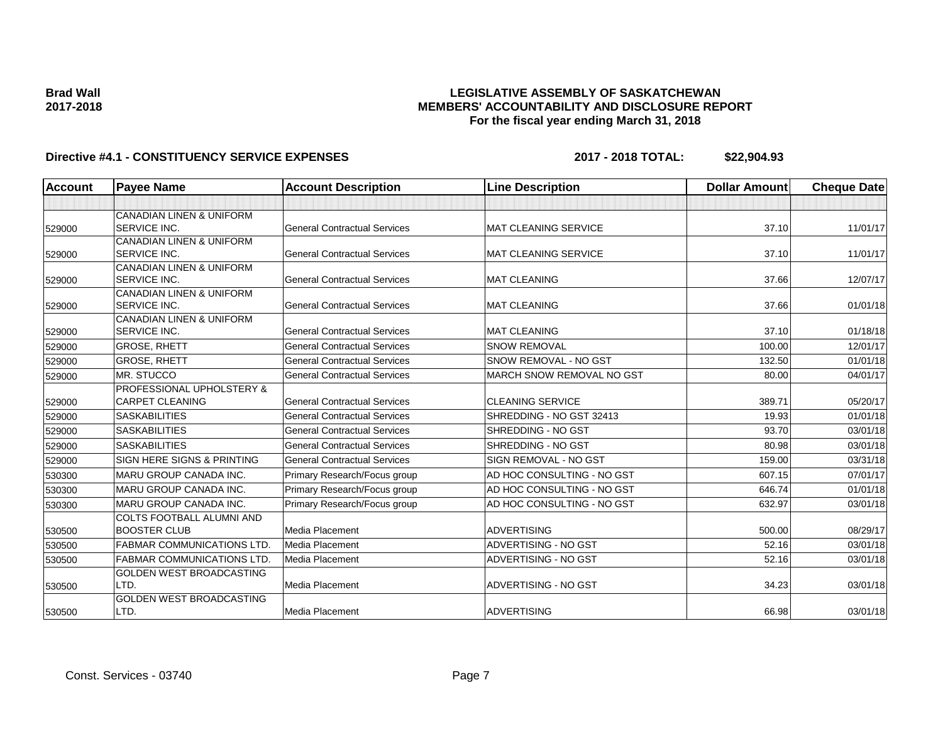### **LEGISLATIVE ASSEMBLY OF SASKATCHEWAN MEMBERS' ACCOUNTABILITY AND DISCLOSURE REPORT For the fiscal year ending March 31, 2018**

| <b>Account</b> | <b>Payee Name</b>                                          | <b>Account Description</b>          | <b>Line Description</b>     | <b>Dollar Amount</b> | <b>Cheque Date</b> |
|----------------|------------------------------------------------------------|-------------------------------------|-----------------------------|----------------------|--------------------|
|                |                                                            |                                     |                             |                      |                    |
|                | <b>CANADIAN LINEN &amp; UNIFORM</b>                        |                                     |                             |                      |                    |
| 529000         | <b>SERVICE INC.</b>                                        | <b>General Contractual Services</b> | <b>MAT CLEANING SERVICE</b> | 37.10                | 11/01/17           |
|                | <b>CANADIAN LINEN &amp; UNIFORM</b>                        |                                     |                             |                      |                    |
| 529000         | <b>SERVICE INC.</b>                                        | <b>General Contractual Services</b> | <b>MAT CLEANING SERVICE</b> | 37.10                | 11/01/17           |
|                | <b>CANADIAN LINEN &amp; UNIFORM</b>                        |                                     |                             |                      |                    |
| 529000         | <b>SERVICE INC.</b>                                        | <b>General Contractual Services</b> | <b>MAT CLEANING</b>         | 37.66                | 12/07/17           |
|                | <b>CANADIAN LINEN &amp; UNIFORM</b>                        |                                     |                             |                      |                    |
| 529000         | <b>SERVICE INC.</b>                                        | <b>General Contractual Services</b> | <b>MAT CLEANING</b>         | 37.66                | 01/01/18           |
| 529000         | <b>CANADIAN LINEN &amp; UNIFORM</b><br><b>SERVICE INC.</b> | <b>General Contractual Services</b> | <b>MAT CLEANING</b>         | 37.10                | 01/18/18           |
| 529000         | <b>GROSE, RHETT</b>                                        | <b>General Contractual Services</b> | <b>SNOW REMOVAL</b>         | 100.00               | 12/01/17           |
| 529000         | <b>GROSE, RHETT</b>                                        | <b>General Contractual Services</b> | SNOW REMOVAL - NO GST       | 132.50               | 01/01/18           |
| 529000         | MR. STUCCO                                                 | <b>General Contractual Services</b> | MARCH SNOW REMOVAL NO GST   | 80.00                | 04/01/17           |
|                | <b>PROFESSIONAL UPHOLSTERY &amp;</b>                       |                                     |                             |                      |                    |
| 529000         | <b>CARPET CLEANING</b>                                     | <b>General Contractual Services</b> | <b>CLEANING SERVICE</b>     | 389.71               | 05/20/17           |
| 529000         | <b>SASKABILITIES</b>                                       | <b>General Contractual Services</b> | SHREDDING - NO GST 32413    | 19.93                | 01/01/18           |
| 529000         | <b>SASKABILITIES</b>                                       | <b>General Contractual Services</b> | SHREDDING - NO GST          | 93.70                | 03/01/18           |
| 529000         | <b>SASKABILITIES</b>                                       | <b>General Contractual Services</b> | SHREDDING - NO GST          | 80.98                | 03/01/18           |
| 529000         | <b>SIGN HERE SIGNS &amp; PRINTING</b>                      | <b>General Contractual Services</b> | SIGN REMOVAL - NO GST       | 159.00               | 03/31/18           |
| 530300         | MARU GROUP CANADA INC.                                     | Primary Research/Focus group        | AD HOC CONSULTING - NO GST  | 607.15               | 07/01/17           |
| 530300         | <b>MARU GROUP CANADA INC.</b>                              | Primary Research/Focus group        | AD HOC CONSULTING - NO GST  | 646.74               | 01/01/18           |
| 530300         | <b>MARU GROUP CANADA INC.</b>                              | Primary Research/Focus group        | AD HOC CONSULTING - NO GST  | 632.97               | 03/01/18           |
|                | COLTS FOOTBALL ALUMNI AND                                  |                                     |                             |                      |                    |
| 530500         | <b>BOOSTER CLUB</b>                                        | Media Placement                     | <b>ADVERTISING</b>          | 500.00               | 08/29/17           |
| 530500         | <b>FABMAR COMMUNICATIONS LTD</b>                           | Media Placement                     | ADVERTISING - NO GST        | 52.16                | 03/01/18           |
| 530500         | <b>FABMAR COMMUNICATIONS LTD</b>                           | Media Placement                     | ADVERTISING - NO GST        | 52.16                | 03/01/18           |
|                | <b>GOLDEN WEST BROADCASTING</b>                            |                                     |                             |                      |                    |
| 530500         | LTD.                                                       | Media Placement                     | ADVERTISING - NO GST        | 34.23                | 03/01/18           |
|                | <b>GOLDEN WEST BROADCASTING</b>                            |                                     |                             |                      |                    |
| 530500         | LTD.                                                       | Media Placement                     | <b>ADVERTISING</b>          | 66.98                | 03/01/18           |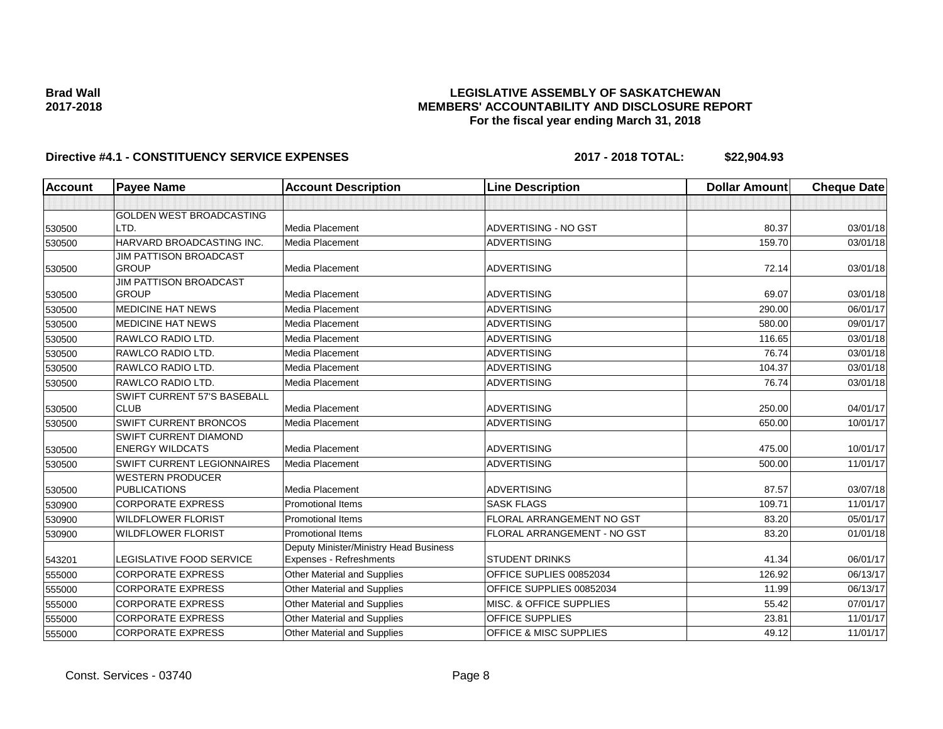## **LEGISLATIVE ASSEMBLY OF SASKATCHEWAN MEMBERS' ACCOUNTABILITY AND DISCLOSURE REPORT For the fiscal year ending March 31, 2018**

| <b>Account</b> | <b>Payee Name</b>                 | <b>Account Description</b>             | <b>Line Description</b>           | <b>Dollar Amount</b> | <b>Cheque Date</b> |
|----------------|-----------------------------------|----------------------------------------|-----------------------------------|----------------------|--------------------|
|                |                                   |                                        |                                   |                      |                    |
|                | <b>GOLDEN WEST BROADCASTING</b>   |                                        |                                   |                      |                    |
| 530500         | LTD.                              | Media Placement                        | ADVERTISING - NO GST              | 80.37                | 03/01/18           |
| 530500         | HARVARD BROADCASTING INC.         | Media Placement                        | <b>ADVERTISING</b>                | 159.70               | 03/01/18           |
|                | <b>JIM PATTISON BROADCAST</b>     |                                        |                                   |                      |                    |
| 530500         | <b>GROUP</b>                      | <b>Media Placement</b>                 | <b>ADVERTISING</b>                | 72.14                | 03/01/18           |
|                | <b>JIM PATTISON BROADCAST</b>     |                                        |                                   |                      |                    |
| 530500         | <b>GROUP</b>                      | Media Placement                        | <b>ADVERTISING</b>                | 69.07                | 03/01/18           |
| 530500         | <b>MEDICINE HAT NEWS</b>          | Media Placement                        | <b>ADVERTISING</b>                | 290.00               | 06/01/17           |
| 530500         | <b>MEDICINE HAT NEWS</b>          | Media Placement                        | <b>ADVERTISING</b>                | 580.00               | 09/01/17           |
| 530500         | RAWLCO RADIO LTD.                 | Media Placement                        | <b>ADVERTISING</b>                | 116.65               | 03/01/18           |
| 530500         | RAWLCO RADIO LTD.                 | Media Placement                        | <b>ADVERTISING</b>                | 76.74                | 03/01/18           |
| 530500         | RAWLCO RADIO LTD.                 | <b>Media Placement</b>                 | <b>ADVERTISING</b>                | 104.37               | 03/01/18           |
| 530500         | RAWLCO RADIO LTD.                 | Media Placement                        | <b>ADVERTISING</b>                | 76.74                | 03/01/18           |
|                | SWIFT CURRENT 57'S BASEBALL       |                                        |                                   |                      |                    |
| 530500         | <b>CLUB</b>                       | <b>Media Placement</b>                 | <b>ADVERTISING</b>                | 250.00               | 04/01/17           |
| 530500         | SWIFT CURRENT BRONCOS             | <b>Media Placement</b>                 | <b>ADVERTISING</b>                | 650.00               | 10/01/17           |
|                | SWIFT CURRENT DIAMOND             |                                        |                                   |                      |                    |
| 530500         | <b>ENERGY WILDCATS</b>            | Media Placement                        | <b>ADVERTISING</b>                | 475.00               | 10/01/17           |
| 530500         | <b>SWIFT CURRENT LEGIONNAIRES</b> | Media Placement                        | <b>ADVERTISING</b>                | 500.00               | 11/01/17           |
|                | <b>WESTERN PRODUCER</b>           |                                        |                                   |                      |                    |
| 530500         | <b>PUBLICATIONS</b>               | <b>Media Placement</b>                 | <b>ADVERTISING</b>                | 87.57                | 03/07/18           |
| 530900         | <b>CORPORATE EXPRESS</b>          | <b>Promotional Items</b>               | <b>SASK FLAGS</b>                 | 109.71               | 11/01/17           |
| 530900         | <b>WILDFLOWER FLORIST</b>         | <b>Promotional Items</b>               | FLORAL ARRANGEMENT NO GST         | 83.20                | 05/01/17           |
| 530900         | <b>WILDFLOWER FLORIST</b>         | <b>Promotional Items</b>               | FLORAL ARRANGEMENT - NO GST       | 83.20                | 01/01/18           |
|                |                                   | Deputy Minister/Ministry Head Business |                                   |                      |                    |
| 543201         | LEGISLATIVE FOOD SERVICE          | Expenses - Refreshments                | <b>STUDENT DRINKS</b>             | 41.34                | 06/01/17           |
| 555000         | <b>CORPORATE EXPRESS</b>          | Other Material and Supplies            | OFFICE SUPLIES 00852034           | 126.92               | 06/13/17           |
| 555000         | <b>CORPORATE EXPRESS</b>          | Other Material and Supplies            | OFFICE SUPPLIES 00852034          | 11.99                | 06/13/17           |
| 555000         | <b>CORPORATE EXPRESS</b>          | Other Material and Supplies            | MISC. & OFFICE SUPPLIES           | 55.42                | 07/01/17           |
| 555000         | <b>CORPORATE EXPRESS</b>          | Other Material and Supplies            | OFFICE SUPPLIES                   | 23.81                | 11/01/17           |
| 555000         | <b>CORPORATE EXPRESS</b>          | Other Material and Supplies            | <b>OFFICE &amp; MISC SUPPLIES</b> | 49.12                | 11/01/17           |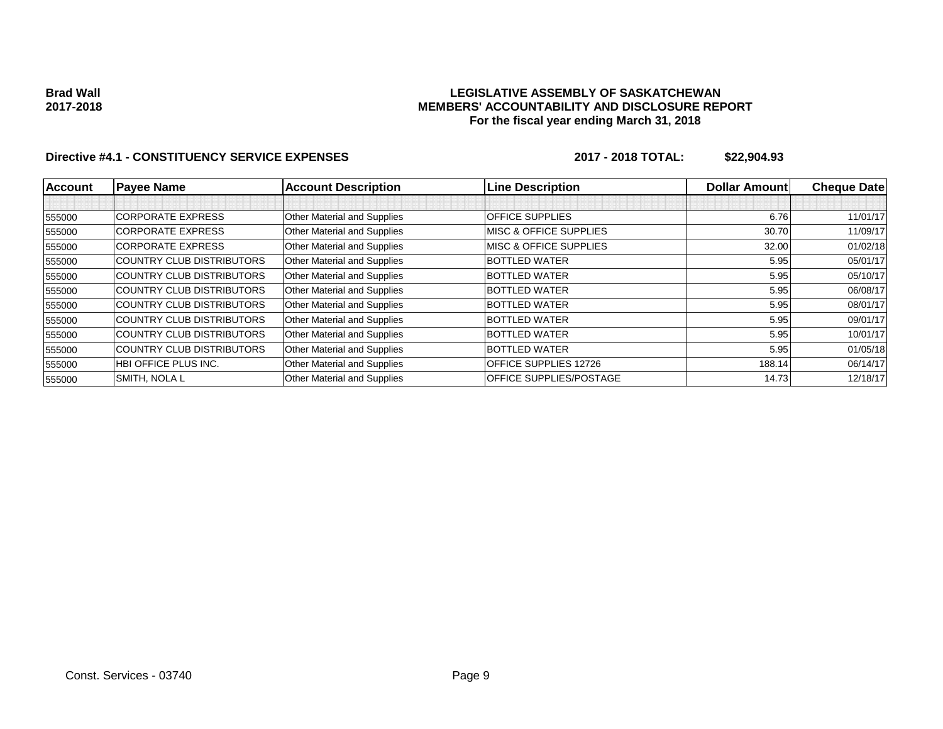### **LEGISLATIVE ASSEMBLY OF SASKATCHEWAN MEMBERS' ACCOUNTABILITY AND DISCLOSURE REPORT For the fiscal year ending March 31, 2018**

| Account | <b>Payee Name</b>                | <b>Account Description</b>  | <b>Line Description</b>           | <b>Dollar Amountl</b> | <b>Cheque Date</b> |
|---------|----------------------------------|-----------------------------|-----------------------------------|-----------------------|--------------------|
|         |                                  |                             |                                   |                       |                    |
| 555000  | <b>CORPORATE EXPRESS</b>         | Other Material and Supplies | <b>OFFICE SUPPLIES</b>            | 6.76                  | 11/01/17           |
| 555000  | <b>CORPORATE EXPRESS</b>         | Other Material and Supplies | <b>MISC &amp; OFFICE SUPPLIES</b> | 30.70                 | 11/09/17           |
| 555000  | <b>CORPORATE EXPRESS</b>         | Other Material and Supplies | <b>MISC &amp; OFFICE SUPPLIES</b> | 32.00                 | 01/02/18           |
| 555000  | <b>COUNTRY CLUB DISTRIBUTORS</b> | Other Material and Supplies | <b>BOTTLED WATER</b>              | 5.95                  | 05/01/17           |
| 555000  | <b>COUNTRY CLUB DISTRIBUTORS</b> | Other Material and Supplies | <b>BOTTLED WATER</b>              | 5.95                  | 05/10/17           |
| 555000  | <b>COUNTRY CLUB DISTRIBUTORS</b> | Other Material and Supplies | <b>BOTTLED WATER</b>              | 5.95                  | 06/08/17           |
| 555000  | <b>COUNTRY CLUB DISTRIBUTORS</b> | Other Material and Supplies | <b>BOTTLED WATER</b>              | 5.95                  | 08/01/17           |
| 555000  | <b>COUNTRY CLUB DISTRIBUTORS</b> | Other Material and Supplies | <b>BOTTLED WATER</b>              | 5.95                  | 09/01/17           |
| 555000  | <b>COUNTRY CLUB DISTRIBUTORS</b> | Other Material and Supplies | <b>BOTTLED WATER</b>              | 5.95                  | 10/01/17           |
| 555000  | <b>COUNTRY CLUB DISTRIBUTORS</b> | Other Material and Supplies | <b>BOTTLED WATER</b>              | 5.95                  | 01/05/18           |
| 555000  | HBI OFFICE PLUS INC.             | Other Material and Supplies | OFFICE SUPPLIES 12726             | 188.14                | 06/14/17           |
| 555000  | <b>SMITH, NOLA L</b>             | Other Material and Supplies | <b>OFFICE SUPPLIES/POSTAGE</b>    | 14.73                 | 12/18/17           |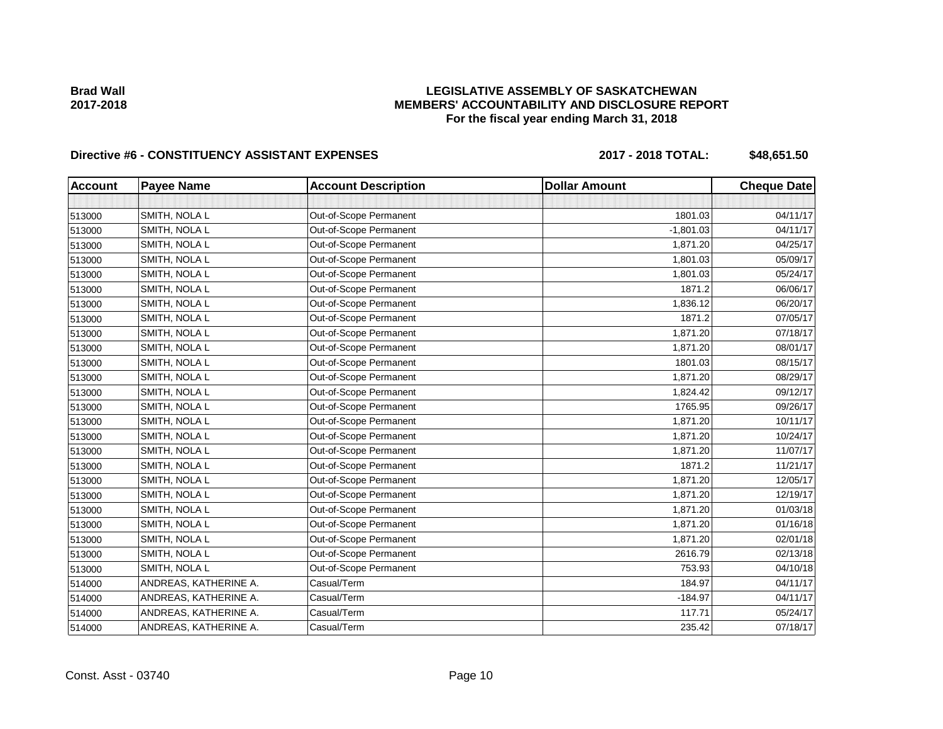**LEGISLATIVE ASSEMBLY OF SASKATCHEWAN MEMBERS' ACCOUNTABILITY AND DISCLOSURE REPORT For the fiscal year ending March 31, 2018**

## Directive #6 - CONSTITUENCY ASSISTANT EXPENSES 2017 - 2018 TOTAL: \$48,651.50

| <b>Account</b> | <b>Payee Name</b>     | <b>Account Description</b> | <b>Dollar Amount</b> | <b>Cheque Date</b> |
|----------------|-----------------------|----------------------------|----------------------|--------------------|
|                |                       |                            |                      |                    |
| 513000         | SMITH, NOLA L         | Out-of-Scope Permanent     | 1801.03              | 04/11/17           |
| 513000         | SMITH, NOLA L         | Out-of-Scope Permanent     | $-1,801.03$          | 04/11/17           |
| 513000         | SMITH, NOLA L         | Out-of-Scope Permanent     | 1,871.20             | 04/25/17           |
| 513000         | SMITH, NOLA L         | Out-of-Scope Permanent     | 1,801.03             | 05/09/17           |
| 513000         | SMITH, NOLA L         | Out-of-Scope Permanent     | 1,801.03             | 05/24/17           |
| 513000         | SMITH, NOLA L         | Out-of-Scope Permanent     | 1871.2               | 06/06/17           |
| 513000         | SMITH, NOLA L         | Out-of-Scope Permanent     | 1,836.12             | 06/20/17           |
| 513000         | SMITH, NOLA L         | Out-of-Scope Permanent     | 1871.2               | 07/05/17           |
| 513000         | SMITH, NOLA L         | Out-of-Scope Permanent     | 1,871.20             | 07/18/17           |
| 513000         | SMITH, NOLA L         | Out-of-Scope Permanent     | 1,871.20             | 08/01/17           |
| 513000         | SMITH, NOLA L         | Out-of-Scope Permanent     | 1801.03              | 08/15/17           |
| 513000         | SMITH, NOLA L         | Out-of-Scope Permanent     | 1,871.20             | 08/29/17           |
| 513000         | SMITH, NOLA L         | Out-of-Scope Permanent     | 1,824.42             | 09/12/17           |
| 513000         | SMITH, NOLA L         | Out-of-Scope Permanent     | 1765.95              | 09/26/17           |
| 513000         | SMITH, NOLA L         | Out-of-Scope Permanent     | 1,871.20             | 10/11/17           |
| 513000         | SMITH, NOLA L         | Out-of-Scope Permanent     | 1,871.20             | 10/24/17           |
| 513000         | SMITH, NOLA L         | Out-of-Scope Permanent     | 1,871.20             | 11/07/17           |
| 513000         | SMITH, NOLA L         | Out-of-Scope Permanent     | 1871.2               | 11/21/17           |
| 513000         | SMITH, NOLA L         | Out-of-Scope Permanent     | 1,871.20             | 12/05/17           |
| 513000         | SMITH, NOLA L         | Out-of-Scope Permanent     | 1,871.20             | 12/19/17           |
| 513000         | SMITH, NOLA L         | Out-of-Scope Permanent     | 1,871.20             | 01/03/18           |
| 513000         | SMITH, NOLA L         | Out-of-Scope Permanent     | 1,871.20             | 01/16/18           |
| 513000         | SMITH, NOLA L         | Out-of-Scope Permanent     | 1,871.20             | 02/01/18           |
| 513000         | SMITH, NOLA L         | Out-of-Scope Permanent     | 2616.79              | 02/13/18           |
| 513000         | SMITH, NOLA L         | Out-of-Scope Permanent     | 753.93               | 04/10/18           |
| 514000         | ANDREAS, KATHERINE A. | Casual/Term                | 184.97               | 04/11/17           |
| 514000         | ANDREAS, KATHERINE A. | Casual/Term                | $-184.97$            | 04/11/17           |
| 514000         | ANDREAS, KATHERINE A. | Casual/Term                | 117.71               | 05/24/17           |
| 514000         | ANDREAS, KATHERINE A. | Casual/Term                | 235.42               | 07/18/17           |

**Brad Wall 2017-2018**